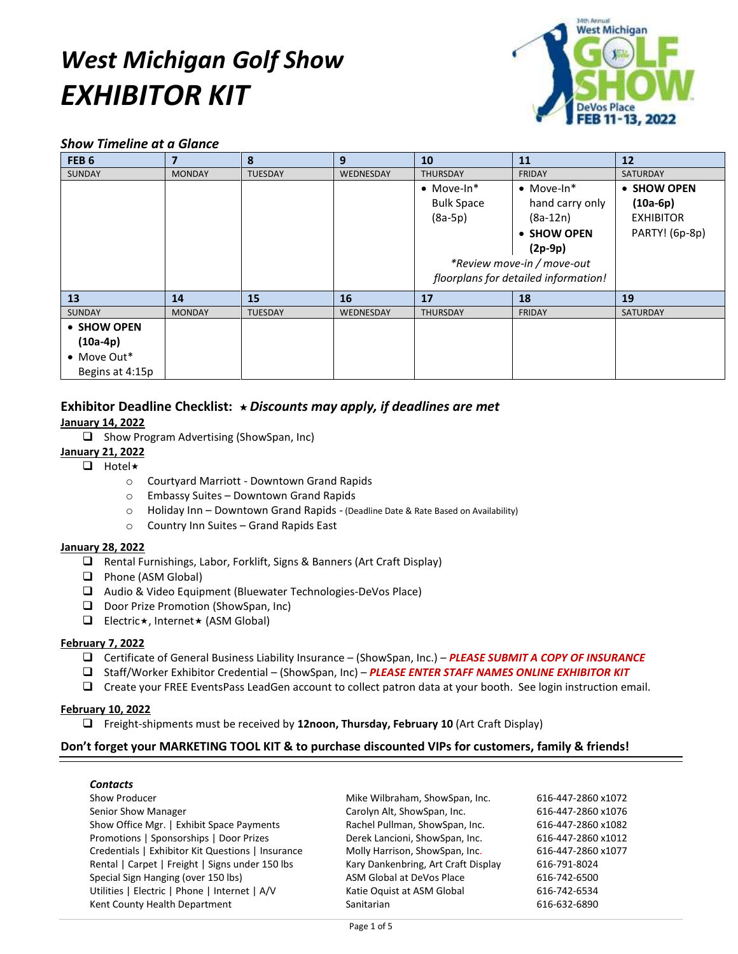# *West Michigan Golf Show EXHIBITOR KIT*



# *Show Timeline at a Glance*

| FEB <sub>6</sub> | $\overline{\mathbf{z}}$ | 8              | 9                | 10                                   | <b>11</b>          | 12               |
|------------------|-------------------------|----------------|------------------|--------------------------------------|--------------------|------------------|
| <b>SUNDAY</b>    | <b>MONDAY</b>           | <b>TUESDAY</b> | WEDNESDAY        | <b>THURSDAY</b>                      | <b>FRIDAY</b>      | <b>SATURDAY</b>  |
|                  |                         |                |                  | $\bullet$ Move-In*                   | $\bullet$ Move-In* | • SHOW OPEN      |
|                  |                         |                |                  | <b>Bulk Space</b>                    | hand carry only    | $(10a-6p)$       |
|                  |                         |                |                  | $(8a-5p)$                            | $(8a-12n)$         | <b>EXHIBITOR</b> |
|                  |                         |                |                  |                                      | • SHOW OPEN        | PARTY! (6p-8p)   |
|                  |                         |                |                  |                                      | $(2p-9p)$          |                  |
|                  |                         |                |                  | *Review move-in / move-out           |                    |                  |
|                  |                         |                |                  | floorplans for detailed information! |                    |                  |
| 13               | 14                      | 15             | 16               | 17                                   | 18                 | 19               |
| <b>SUNDAY</b>    | <b>MONDAY</b>           | <b>TUESDAY</b> | <b>WEDNESDAY</b> | <b>THURSDAY</b>                      | <b>FRIDAY</b>      | SATURDAY         |
| • SHOW OPEN      |                         |                |                  |                                      |                    |                  |
| $(10a-4p)$       |                         |                |                  |                                      |                    |                  |
| • Move Out*      |                         |                |                  |                                      |                    |                  |
| Begins at 4:15p  |                         |                |                  |                                      |                    |                  |

# **Exhibitor Deadline Checklist:**  *Discounts may apply, if deadlines are met*

**January 14, 2022**

 $\Box$  Show Program Advertising (ShowSpan, Inc)

# **January 21, 2022**

- $\Box$  Hotel  $\star$ 
	- o Courtyard Marriott Downtown Grand Rapids
	- o Embassy Suites Downtown Grand Rapids
	- o Holiday Inn Downtown Grand Rapids (Deadline Date & Rate Based on Availability)
	- o Country Inn Suites Grand Rapids East

#### **January 28, 2022**

- Rental Furnishings, Labor, Forklift, Signs & Banners (Art Craft Display)
- **Q** Phone (ASM Global)
- Audio & Video Equipment (Bluewater Technologies-DeVos Place)
- Door Prize Promotion (ShowSpan, Inc)
- **Electric \*, Internet \* (ASM Global)**

#### **February 7, 2022**

- Certificate of General Business Liability Insurance (ShowSpan, Inc.) *PLEASE SUBMIT A COPY OF INSURANCE*
- Staff/Worker Exhibitor Credential (ShowSpan, Inc) *PLEASE ENTER STAFF NAMES ONLINE EXHIBITOR KIT*
- Create your FREE EventsPass LeadGen account to collect patron data at your booth. See login instruction email.

#### **February 10, 2022**

Freight-shipments must be received by **12noon, Thursday, February 10** (Art Craft Display)

#### **Don't forget your MARKETING TOOL KIT & to purchase discounted VIPs for customers, family & friends!**

#### *Contacts*

Senior Show Manager Carolyn Alt, ShowSpan, Inc. 616-447-2860 x1076 Show Office Mgr. | Exhibit Space Payments Rachel Pullman, ShowSpan, Inc. 616-447-2860 x1082 Promotions | Sponsorships | Door Prizes Derek Lancioni, ShowSpan, Inc. 616-447-2860 x1012 Credentials | Exhibitor Kit Questions | Insurance Molly Harrison, ShowSpan, Inc. 616-447-2860 x1077 Rental | Carpet | Freight | Signs under 150 lbs Kary Dankenbring, Art Craft Display 616-791-8024 Special Sign Hanging (over 150 lbs) ASM Global at DeVos Place 616-742-6500 Utilities | Electric | Phone | Internet | A/V Katie Oquist at ASM Global 616-742-6534 Kent County Health Department County According to the Sanitarian County Sanitarian 616-632-6890

Show Producer **Mike Wilbraham, ShowSpan, Inc.** 616-447-2860 x1072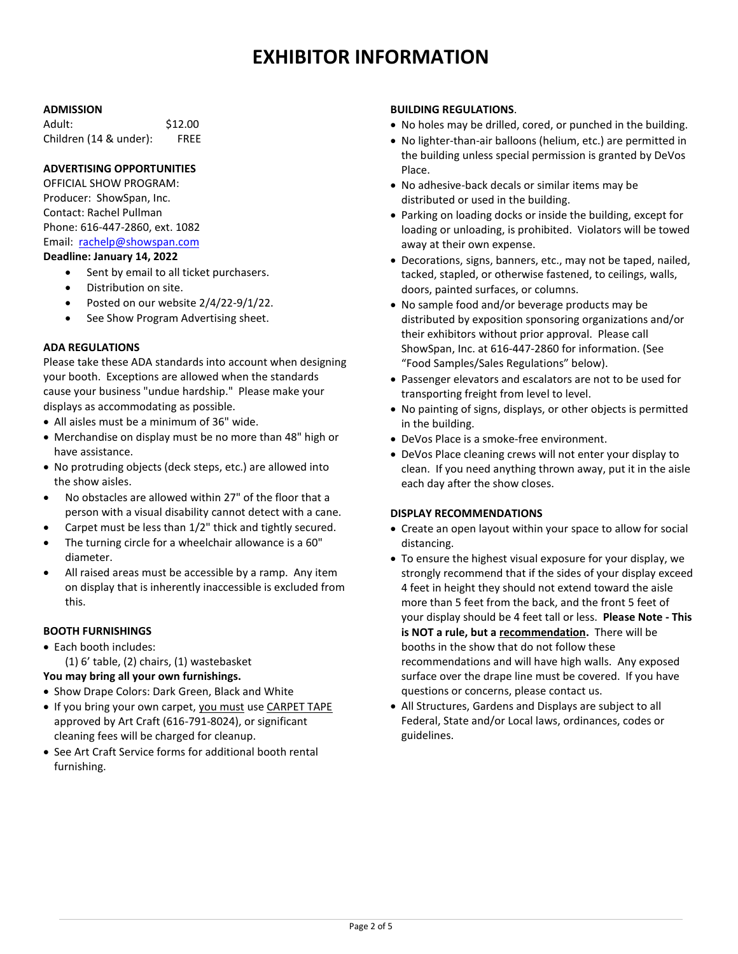# **EXHIBITOR INFORMATION**

#### **ADMISSION**

| Adult:                 | \$12.00     |
|------------------------|-------------|
| Children (14 & under): | <b>FREE</b> |

#### **ADVERTISING OPPORTUNITIES**

OFFICIAL SHOW PROGRAM: Producer: ShowSpan, Inc. Contact: Rachel Pullman Phone: 616-447-2860, ext. 1082 Email: [rachelp@showspan.com](mailto:rachelp@showspan.com)

#### **Deadline: January 14, 2022**

- Sent by email to all ticket purchasers.
- Distribution on site.
- Posted on our website 2/4/22-9/1/22.
- See Show Program Advertising sheet.

#### **ADA REGULATIONS**

Please take these ADA standards into account when designing your booth. Exceptions are allowed when the standards cause your business "undue hardship." Please make your displays as accommodating as possible.

- All aisles must be a minimum of 36" wide.
- Merchandise on display must be no more than 48" high or have assistance.
- No protruding objects (deck steps, etc.) are allowed into the show aisles.
- No obstacles are allowed within 27" of the floor that a person with a visual disability cannot detect with a cane.
- Carpet must be less than 1/2" thick and tightly secured.
- The turning circle for a wheelchair allowance is a 60" diameter.
- All raised areas must be accessible by a ramp. Any item on display that is inherently inaccessible is excluded from this.

#### **BOOTH FURNISHINGS**

 Each booth includes: (1) 6' table, (2) chairs, (1) wastebasket

# **You may bring all your own furnishings.**

- Show Drape Colors: Dark Green, Black and White
- If you bring your own carpet, you must use CARPET TAPE approved by Art Craft (616-791-8024), or significant cleaning fees will be charged for cleanup.
- See Art Craft Service forms for additional booth rental furnishing.

#### **BUILDING REGULATIONS**.

- No holes may be drilled, cored, or punched in the building.
- No lighter-than-air balloons (helium, etc.) are permitted in the building unless special permission is granted by DeVos Place.
- No adhesive-back decals or similar items may be distributed or used in the building.
- Parking on loading docks or inside the building, except for loading or unloading, is prohibited. Violators will be towed away at their own expense.
- Decorations, signs, banners, etc., may not be taped, nailed, tacked, stapled, or otherwise fastened, to ceilings, walls, doors, painted surfaces, or columns.
- No sample food and/or beverage products may be distributed by exposition sponsoring organizations and/or their exhibitors without prior approval. Please call ShowSpan, Inc. at 616-447-2860 for information. (See "Food Samples/Sales Regulations" below).
- Passenger elevators and escalators are not to be used for transporting freight from level to level.
- No painting of signs, displays, or other objects is permitted in the building.
- DeVos Place is a smoke-free environment.
- DeVos Place cleaning crews will not enter your display to clean. If you need anything thrown away, put it in the aisle each day after the show closes.

#### **DISPLAY RECOMMENDATIONS**

- Create an open layout within your space to allow for social distancing.
- To ensure the highest visual exposure for your display, we strongly recommend that if the sides of your display exceed 4 feet in height they should not extend toward the aisle more than 5 feet from the back, and the front 5 feet of your display should be 4 feet tall or less. **Please Note - This is NOT a rule, but a recommendation.** There will be booths in the show that do not follow these recommendations and will have high walls. Any exposed surface over the drape line must be covered. If you have questions or concerns, please contact us.
- All Structures, Gardens and Displays are subject to all Federal, State and/or Local laws, ordinances, codes or guidelines.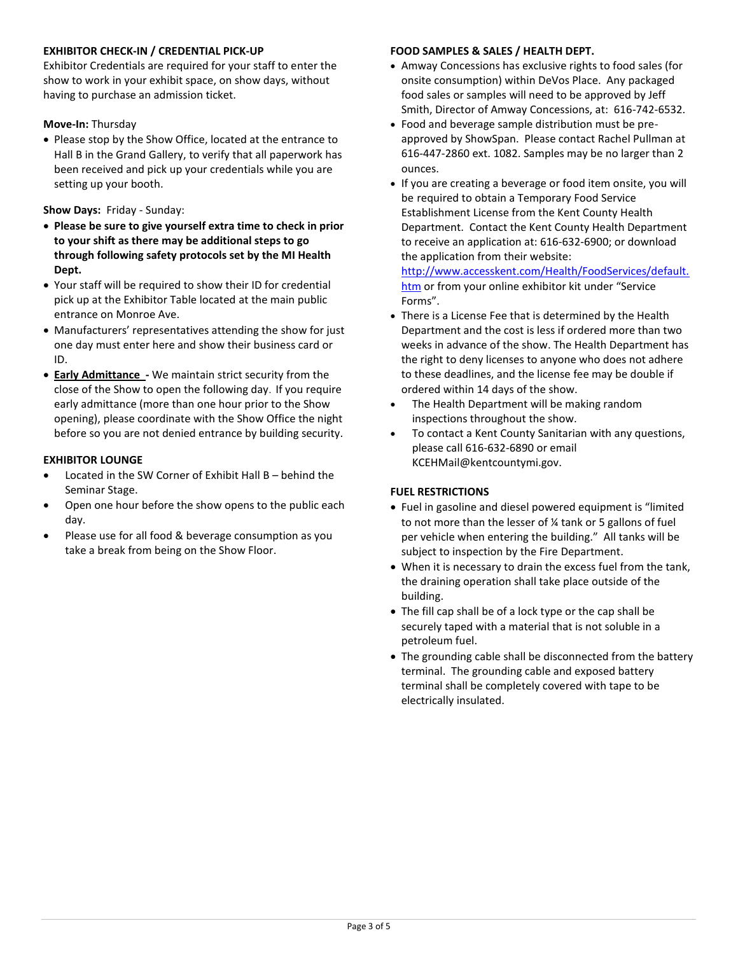#### **EXHIBITOR CHECK-IN / CREDENTIAL PICK-UP**

Exhibitor Credentials are required for your staff to enter the show to work in your exhibit space, on show days, without having to purchase an admission ticket.

#### **Move-In:** Thursday

 Please stop by the Show Office, located at the entrance to Hall B in the Grand Gallery, to verify that all paperwork has been received and pick up your credentials while you are setting up your booth.

### **Show Days:** Friday - Sunday:

- **Please be sure to give yourself extra time to check in prior to your shift as there may be additional steps to go through following safety protocols set by the MI Health Dept.**
- Your staff will be required to show their ID for credential pick up at the Exhibitor Table located at the main public entrance on Monroe Ave.
- Manufacturers' representatives attending the show for just one day must enter here and show their business card or ID.
- **Early Admittance -** We maintain strict security from the close of the Show to open the following day. If you require early admittance (more than one hour prior to the Show opening), please coordinate with the Show Office the night before so you are not denied entrance by building security.

### **EXHIBITOR LOUNGE**

- Located in the SW Corner of Exhibit Hall B behind the Seminar Stage.
- Open one hour before the show opens to the public each day.
- Please use for all food & beverage consumption as you take a break from being on the Show Floor.

#### **FOOD SAMPLES & SALES / HEALTH DEPT.**

- Amway Concessions has exclusive rights to food sales (for onsite consumption) within DeVos Place. Any packaged food sales or samples will need to be approved by Jeff Smith, Director of Amway Concessions, at: 616-742-6532.
- Food and beverage sample distribution must be preapproved by ShowSpan. Please contact Rachel Pullman at 616-447-2860 ext. 1082. Samples may be no larger than 2 ounces.
- If you are creating a beverage or food item onsite, you will be required to obtain a Temporary Food Service Establishment License from the Kent County Health Department. Contact the Kent County Health Department to receive an application at: 616-632-6900; or download the application from their website:

[http://www.accesskent.com/Health/FoodServices/default.](http://www.accesskent.com/Health/FoodServices/default.htm) [htm](http://www.accesskent.com/Health/FoodServices/default.htm) or from your online exhibitor kit under "Service Forms".

- There is a License Fee that is determined by the Health Department and the cost is less if ordered more than two weeks in advance of the show. The Health Department has the right to deny licenses to anyone who does not adhere to these deadlines, and the license fee may be double if ordered within 14 days of the show.
- The Health Department will be making random inspections throughout the show.
- To contact a Kent County Sanitarian with any questions, please call 616-632-6890 or email KCEHMail@kentcountymi.gov.

# **FUEL RESTRICTIONS**

- Fuel in gasoline and diesel powered equipment is "limited to not more than the lesser of ¼ tank or 5 gallons of fuel per vehicle when entering the building." All tanks will be subject to inspection by the Fire Department.
- When it is necessary to drain the excess fuel from the tank, the draining operation shall take place outside of the building.
- The fill cap shall be of a lock type or the cap shall be securely taped with a material that is not soluble in a petroleum fuel.
- The grounding cable shall be disconnected from the battery terminal. The grounding cable and exposed battery terminal shall be completely covered with tape to be electrically insulated.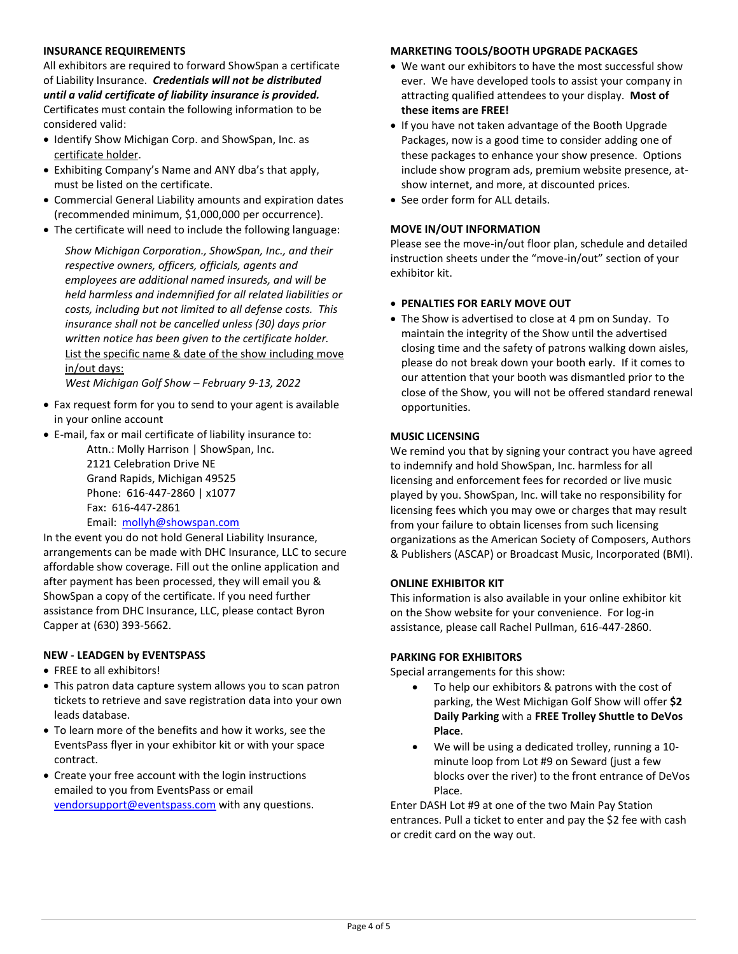#### **INSURANCE REQUIREMENTS**

All exhibitors are required to forward ShowSpan a certificate of Liability Insurance. *Credentials will not be distributed until a valid certificate of liability insurance is provided.* Certificates must contain the following information to be considered valid:

- Identify Show Michigan Corp. and ShowSpan, Inc. as certificate holder.
- Exhibiting Company's Name and ANY dba's that apply, must be listed on the certificate.
- Commercial General Liability amounts and expiration dates (recommended minimum, \$1,000,000 per occurrence).
- The certificate will need to include the following language:

*Show Michigan Corporation., ShowSpan, Inc., and their respective owners, officers, officials, agents and employees are additional named insureds, and will be held harmless and indemnified for all related liabilities or costs, including but not limited to all defense costs. This insurance shall not be cancelled unless (30) days prior written notice has been given to the certificate holder.* List the specific name & date of the show including move in/out days:

*West Michigan Golf Show – February 9-13, 2022*

- Fax request form for you to send to your agent is available in your online account
- E-mail, fax or mail certificate of liability insurance to:

Attn.: Molly Harrison | ShowSpan, Inc. 2121 Celebration Drive NE Grand Rapids, Michigan 49525 Phone: 616-447-2860 | x1077 Fax: 616-447-2861 Email: [mollyh@showspan.com](mailto:MollyH@showspan.com)

In the event you do not hold General Liability Insurance, arrangements can be made with DHC Insurance, LLC to secure affordable show coverage. Fill out the online application and after payment has been processed, they will email you & ShowSpan a copy of the certificate. If you need further assistance from DHC Insurance, LLC, please contact Byron Capper at (630) 393-5662.

#### **NEW - LEADGEN by EVENTSPASS**

- FREE to all exhibitors!
- This patron data capture system allows you to scan patron tickets to retrieve and save registration data into your own leads database.
- To learn more of the benefits and how it works, see the EventsPass flyer in your exhibitor kit or with your space contract.
- Create your free account with the login instructions emailed to you from EventsPass or email [vendorsupport@eventspass.com](mailto:vendorsupport@eventspass.com) with any questions.

#### **MARKETING TOOLS/BOOTH UPGRADE PACKAGES**

- We want our exhibitors to have the most successful show ever. We have developed tools to assist your company in attracting qualified attendees to your display. **Most of these items are FREE!**
- If you have not taken advantage of the Booth Upgrade Packages, now is a good time to consider adding one of these packages to enhance your show presence. Options include show program ads, premium website presence, atshow internet, and more, at discounted prices.
- See order form for ALL details.

#### **MOVE IN/OUT INFORMATION**

Please see the move-in/out floor plan, schedule and detailed instruction sheets under the "move-in/out" section of your exhibitor kit.

#### **PENALTIES FOR EARLY MOVE OUT**

 The Show is advertised to close at 4 pm on Sunday. To maintain the integrity of the Show until the advertised closing time and the safety of patrons walking down aisles, please do not break down your booth early. If it comes to our attention that your booth was dismantled prior to the close of the Show, you will not be offered standard renewal opportunities.

#### **MUSIC LICENSING**

We remind you that by signing your contract you have agreed to indemnify and hold ShowSpan, Inc. harmless for all licensing and enforcement fees for recorded or live music played by you. ShowSpan, Inc. will take no responsibility for licensing fees which you may owe or charges that may result from your failure to obtain licenses from such licensing organizations as the American Society of Composers, Authors & Publishers (ASCAP) or Broadcast Music, Incorporated (BMI).

#### **ONLINE EXHIBITOR KIT**

This information is also available in your online exhibitor kit on the Show website for your convenience. For log-in assistance, please call Rachel Pullman, 616-447-2860.

#### **PARKING FOR EXHIBITORS**

Special arrangements for this show:

- To help our exhibitors & patrons with the cost of parking, the West Michigan Golf Show will offer **\$2 Daily Parking** with a **FREE Trolley Shuttle to DeVos Place**.
- We will be using a dedicated trolley, running a 10 minute loop from Lot #9 on Seward (just a few blocks over the river) to the front entrance of DeVos Place.

Enter DASH Lot #9 at one of the two Main Pay Station entrances. Pull a ticket to enter and pay the \$2 fee with cash or credit card on the way out.